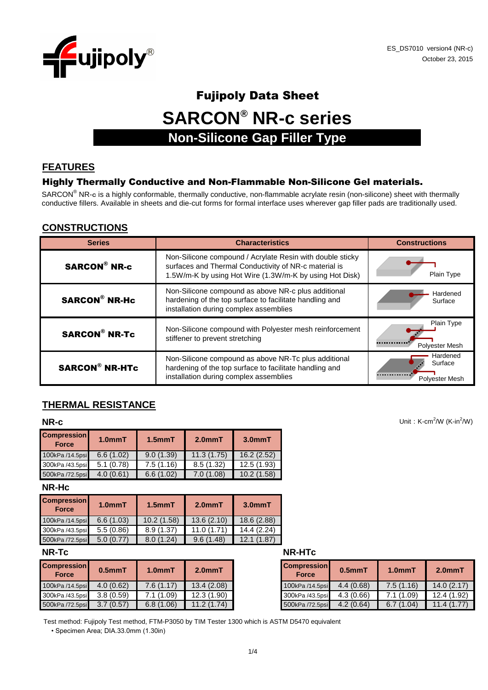

# Fujipoly Data Sheet **SARCON® NR-c series Non-Silicone Gap Filler Type**

# **FEATURES**

#### Highly Thermally Conductive and Non-Flammable Non-Silicone Gel materials.

SARCON<sup>®</sup> NR-c is a highly conformable, thermally conductive, non-flammable acrylate resin (non-silicone) sheet with thermally conductive fillers. Available in sheets and die-cut forms for formal interface uses wherever gap filler pads are traditionally used.

### **CONSTRUCTIONS**

| <b>Series</b>         | <b>Characteristics</b>                                                                                                                                                        | <b>Constructions</b>                  |
|-----------------------|-------------------------------------------------------------------------------------------------------------------------------------------------------------------------------|---------------------------------------|
| <b>SARCON® NR-c</b>   | Non-Silicone compound / Acrylate Resin with double sticky<br>surfaces and Thermal Conductivity of NR-c material is<br>1.5W/m-K by using Hot Wire (1.3W/m-K by using Hot Disk) | Plain Type                            |
| <b>SARCON® NR-Hc</b>  | Non-Silicone compound as above NR-c plus additional<br>hardening of the top surface to facilitate handling and<br>installation during complex assemblies                      | Hardened<br>Surface                   |
| <b>SARCON® NR-Tc</b>  | Non-Silicone compound with Polyester mesh reinforcement<br>stiffener to prevent stretching                                                                                    | Plain Type<br>Polyester Mesh          |
| <b>SARCON® NR-HTc</b> | Non-Silicone compound as above NR-Tc plus additional<br>hardening of the top surface to facilitate handling and<br>installation during complex assemblies                     | Hardened<br>Surface<br>Polyester Mesh |

# **THERMAL RESISTANCE**

| <b>Compression</b><br><b>Force</b> | 1.0 <sub>mm</sub> T | $1.5$ mm $T$ | 2.0 <sub>mm</sub> T | $3.0mm$ T  |
|------------------------------------|---------------------|--------------|---------------------|------------|
| 100kPa /14.5psi                    | 6.6(1.02)           | 9.0(1.39)    | 11.3(1.75)          | 16.2(2.52) |
| 300kPa /43.5psi                    | 5.1(0.78)           | 7.5(1.16)    | 8.5(1.32)           | 12.5(1.93) |
| 500kPa /72.5psi                    | 4.0(0.61)           | 6.6(1.02)    | 7.0(1.08)           | 10.2(1.58) |

**NR-Hc**

| <b>Compression</b><br><b>Force</b> | 1.0 <sub>mmT</sub> | $1.5$ mm $T$ | 2.0 <sub>mm</sub> T | 3.0 <sub>mm</sub> T |
|------------------------------------|--------------------|--------------|---------------------|---------------------|
| 100kPa /14.5psi                    | 6.6(1.03)          | 10.2(1.58)   | 13.6(2.10)          | 18.6 (2.88)         |
| 300kPa /43.5psi                    | 5.5(0.86)          | 8.9(1.37)    | 11.0(1.71)          | 14.4(2.24)          |
| 500kPa /72.5psi                    | 5.0(0.77)          | 8.0(1.24)    | 9.6(1.48)           | 12.1 (1.87)         |

| <b>Compression</b><br><b>Force</b> | $0.5$ mm $T$ | 1.0 <sub>mm</sub> T | $2.0mm$ T  | <b>Compression</b><br><b>Force</b> | $0.5$ mm $T$ |
|------------------------------------|--------------|---------------------|------------|------------------------------------|--------------|
| 100kPa /14.5psi                    | 4.0(0.62)    | 7.6(1.17)           | 13.4(2.08) | 100kPa /14.5psi                    | 4.4(0.68)    |
| 300kPa /43.5psi                    | 3.8(0.59)    | 7.1 (1.09)          | 12.3(1.90) | 300kPa /43.5psi                    | 4.3(0.66)    |
| 500kPa /72.5psi                    | 3.7(0.57)    | 6.8(1.06)           | 11.2(1.74) | 500kPa /72.5psi                    | 4.2(0.64)    |

| NR-Tc | <b>NR-HTc</b> |
|-------|---------------|
|       |               |

| <b>Compression</b><br><b>Force</b> | $0.5$ mm $T$ | 1.0 <sub>mm</sub> T | $2.0mm$ T   |
|------------------------------------|--------------|---------------------|-------------|
| 100kPa /14.5psi                    | 4.4(0.68)    | 7.5(1.16)           | 14.0(2.17)  |
| 300kPa /43.5psi                    | 4.3(0.66)    | 7.1(1.09)           | 12.4 (1.92) |
| 500kPa /72.5psi                    | 4.2(0.64)    | 6.7(1.04)           | 11.4(1.77)  |

Test method: Fujipoly Test method, FTM-P3050 by TIM Tester 1300 which is ASTM D5470 equivalent

• Specimen Area; DIA.33.0mm (1.30in)

Unit:  $K-cm^2/W$  (K-in $^2/W$ )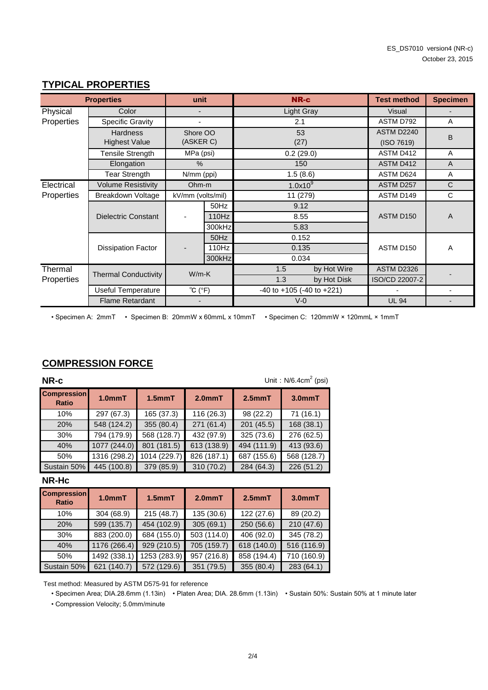|            | <b>Properties</b>           | unit                        |        | <b>NR-c</b>                         |             | <b>Test method</b> | <b>Specimen</b> |
|------------|-----------------------------|-----------------------------|--------|-------------------------------------|-------------|--------------------|-----------------|
| Physical   | Color                       |                             |        | Light Gray                          |             | Visual             |                 |
| Properties | <b>Specific Gravity</b>     |                             |        | 2.1                                 |             | ASTM D792          | A               |
|            | <b>Hardness</b>             | Shore OO                    |        | 53                                  |             | ASTM D2240         | B               |
|            | <b>Highest Value</b>        | (ASKER C)                   |        | (27)                                |             | (ISO 7619)         |                 |
|            | Tensile Strength            | MPa (psi)                   |        | 0.2(29.0)                           |             | ASTM D412          | A               |
|            | Elongation                  | $\%$                        |        | 150                                 |             | ASTM D412          | $\overline{A}$  |
|            | <b>Tear Strength</b>        | N/mm (ppi)                  |        | 1.5(8.6)                            |             | ASTM D624          | Α               |
| Electrical | <b>Volume Resistivity</b>   | Ohm-m                       |        | 1.0x10 <sup>9</sup>                 |             | ASTM D257          | C               |
| Properties | Breakdown Voltage           | kV/mm (volts/mil)           |        |                                     | 11 (279)    |                    | C               |
|            |                             |                             | 50Hz   | 9.12                                |             |                    |                 |
|            | <b>Dielectric Constant</b>  |                             | 110Hz  | 8.55                                |             | ASTM D150          | A               |
|            |                             |                             | 300kHz | 5.83                                |             |                    |                 |
|            |                             |                             | 50Hz   | 0.152                               |             |                    |                 |
|            | <b>Dissipation Factor</b>   |                             | 110Hz  | 0.135                               |             | ASTM D150          | A               |
|            |                             |                             | 300kHz | 0.034                               |             |                    |                 |
| Thermal    | <b>Thermal Conductivity</b> | $W/m-K$                     |        | 1.5                                 | by Hot Wire | <b>ASTM D2326</b>  |                 |
| Properties |                             |                             |        | 1.3                                 | by Hot Disk | ISO/CD 22007-2     |                 |
|            | <b>Useful Temperature</b>   | $^{\circ}C$ ( $^{\circ}F$ ) |        | $-40$ to $+105$ ( $-40$ to $+221$ ) |             |                    |                 |
|            | <b>Flame Retardant</b>      |                             |        | $V-0$                               |             | <b>UL 94</b>       |                 |

#### **TYPICAL PROPERTIES**

• Specimen A: 2mmT • Specimen B: 20mmW x 60mmL x 10mmT • Specimen C: 120mmW × 120mmL × 1mmT

# **COMPRESSION FORCE**

| NR-c                               |                     |              |                     |              | Unit: $N/6.4cm2$ (psi) |
|------------------------------------|---------------------|--------------|---------------------|--------------|------------------------|
| <b>Compression</b><br><b>Ratio</b> | 1.0 <sub>mm</sub> T | $1.5$ mm $T$ | 2.0 <sub>mm</sub> T | $2.5$ mm $T$ | $3.0mm$ T              |
| 10%                                | 297 (67.3)          | 165 (37.3)   | 116 (26.3)          | 98 (22.2)    | 71(16.1)               |
| 20%                                | 548 (124.2)         | 355 (80.4)   | 271 (61.4)          | 201 (45.5)   | 168 (38.1)             |
| 30%                                | 794 (179.9)         | 568 (128.7)  | 432 (97.9)          | 325 (73.6)   | 276 (62.5)             |
| 40%                                | 1077 (244.0)        | 801 (181.5)  | 613 (138.9)         | 494 (111.9)  | 413 (93.6)             |
| 50%                                | 1316 (298.2)        | 1014 (229.7) | 826 (187.1)         | 687 (155.6)  | 568 (128.7)            |
| Sustain 50%                        | 445 (100.8)         | 379 (85.9)   | 310 (70.2)          | 284 (64.3)   | 226 (51.2)             |

#### **NR-Hc**

| <b>Compression</b><br><b>Ratio</b> | 1.0 <sub>mm</sub> T | $1.5$ mm $T$ | 2.0 <sub>mm</sub> T | $2.5$ mm $T$ | $3.0mm$ T   |
|------------------------------------|---------------------|--------------|---------------------|--------------|-------------|
| 10%                                | 304 (68.9)          | 215(48.7)    | 135 (30.6)          | 122 (27.6)   | 89 (20.2)   |
| 20%                                | 599 (135.7)         | 454 (102.9)  | 305(69.1)           | 250 (56.6)   | 210(47.6)   |
| 30%                                | 883 (200.0)         | 684 (155.0)  | 503 (114.0)         | 406 (92.0)   | 345 (78.2)  |
| 40%                                | 1176 (266.4)        | 929 (210.5)  | 705 (159.7)         | 618 (140.0)  | 516 (116.9) |
| 50%                                | 1492 (338.1)        | 1253 (283.9) | 957 (216.8)         | 858 (194.4)  | 710 (160.9) |
| Sustain 50%                        | 621 (140.7)         | 572 (129.6)  | 351 (79.5)          | 355 (80.4)   | 283 (64.1)  |

Test method: Measured by ASTM D575-91 for reference

• Specimen Area; DIA.28.6mm (1.13in) • Platen Area; DIA. 28.6mm (1.13in) • Sustain 50%: Sustain 50% at 1 minute later

• Compression Velocity; 5.0mm/minute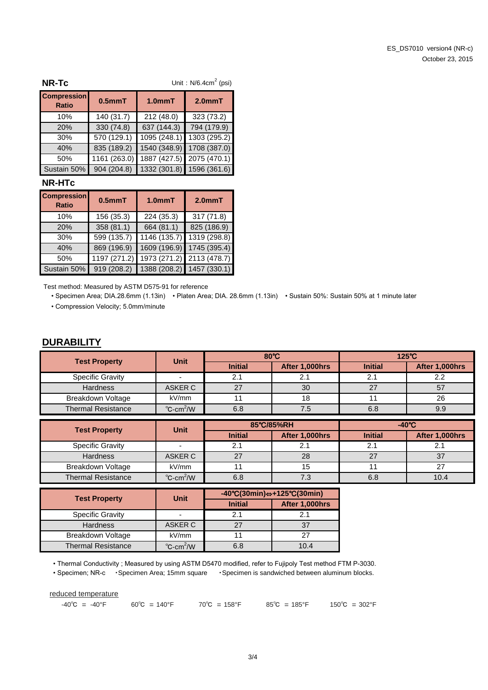| <b>NR-Tc</b>                       | Unit: $N/6.4cm2$ (psi) |                           |                           |  |
|------------------------------------|------------------------|---------------------------|---------------------------|--|
| <b>Compression</b><br><b>Ratio</b> | $0.5mm$ T              | 1.0 <sub>mm</sub> T       | $2.0mm$ T                 |  |
| 10%                                | 140 (31.7)             | 212 (48.0)                | 323 (73.2)                |  |
| 20%                                | 330 (74.8)             | 637 (144.3)               | 794 (179.9)               |  |
| 30%                                | 570(129.1)             | $\overline{1095}$ (248.1) | 1303 (295.2)              |  |
| 40%                                | 835 (189.2)            | 1540 (348.9)              | 1708 (387.0)              |  |
| 50%                                | 1161 (263.0)           | 1887 (427.5)              | 2075 (470.1)              |  |
| Sustain 50%                        | 904 (204.8)            |                           | 1332 (301.8) 1596 (361.6) |  |

#### **NR-HTc**

| <b>Compression</b><br><b>Ratio</b> | $0.5mm$ T    | 1.0 <sub>mm</sub> T | 2.0 <sub>mm</sub> T       |
|------------------------------------|--------------|---------------------|---------------------------|
| 10%                                | 156 (35.3)   | 224 (35.3)          | 317(71.8)                 |
| 20%                                | 358 (81.1)   | 664 (81.1)          | 825 (186.9)               |
| 30%                                | 599 (135.7)  | 1146 (135.7)        | 1319 (298.8)              |
| 40%                                | 869 (196.9)  | 1609 (196.9)        | 1745 (395.4)              |
| 50%                                | 1197 (271.2) |                     | 1973 (271.2) 2113 (478.7) |
| Sustain 50%                        | 919 (208.2)  |                     | 1388 (208.2) 1457 (330.1) |

Test method: Measured by ASTM D575-91 for reference

• Specimen Area; DIA.28.6mm (1.13in) • Platen Area; DIA. 28.6mm (1.13in) • Sustain 50%: Sustain 50% at 1 minute later • Compression Velocity; 5.0mm/minute

#### **DURABILITY**

| <b>Test Property</b>      | <b>Unit</b>                     | $80^{\circ}$ C |                | $125^{\circ}$ C |                |
|---------------------------|---------------------------------|----------------|----------------|-----------------|----------------|
|                           |                                 | <b>Initial</b> | After 1,000hrs | <b>Initial</b>  | After 1,000hrs |
| <b>Specific Gravity</b>   |                                 |                |                |                 |                |
| <b>Hardness</b>           | ASKER C                         | 27             | 30             | 27              | 57             |
| Breakdown Voltage         | kV/mm                           |                | 18             |                 | 26             |
| <b>Thermal Resistance</b> | $^{\circ}$ C-cm <sup>2</sup> /W | 6.8            | 7.5            | 6.8             | 9.9            |

| <b>Test Property</b>      | <b>Unit</b>                     | 85°C/85%RH     |                | $-40^{\circ}$ C |                |
|---------------------------|---------------------------------|----------------|----------------|-----------------|----------------|
|                           |                                 | <b>Initial</b> | After 1,000hrs | <b>Initial</b>  | After 1,000hrs |
| <b>Specific Gravity</b>   |                                 |                |                |                 | ۷.             |
| <b>Hardness</b>           | ASKER C                         | 27             | 28             | つフ              |                |
| Breakdown Voltage         | kV/mm                           |                | 15             |                 |                |
| <b>Thermal Resistance</b> | $^{\circ}$ C-cm <sup>2</sup> /W | 6.8            | 7.3            | 6.8             | 10.4           |

| <b>Test Property</b>      | Unit                            | $-40^{\circ}C(30\text{min}) \Leftrightarrow +125^{\circ}C(30\text{min})$ |                |  |
|---------------------------|---------------------------------|--------------------------------------------------------------------------|----------------|--|
|                           |                                 | <b>Initial</b>                                                           | After 1,000hrs |  |
| <b>Specific Gravity</b>   |                                 | 2.1                                                                      | 21             |  |
| <b>Hardness</b>           | ASKER C                         | 27                                                                       | 37             |  |
| Breakdown Voltage         | kV/mm                           |                                                                          | 27             |  |
| <b>Thermal Resistance</b> | $^{\circ}$ C-cm <sup>2</sup> /W | 6.8                                                                      | 10.4           |  |

• Thermal Conductivity ; Measured by using ASTM D5470 modified, refer to Fujipoly Test method FTM P-3030.

• Specimen; NR-c ・Specimen Area; 15mm square ・Specimen is sandwiched between aluminum blocks.

reduced temperature

 $-40^{\circ}$ C =  $-40^{\circ}$ F 60°C =  $140^{\circ}$ F 70°C =  $158^{\circ}$ F 85°C =  $185^{\circ}$ F 150°C =  $302^{\circ}$ F